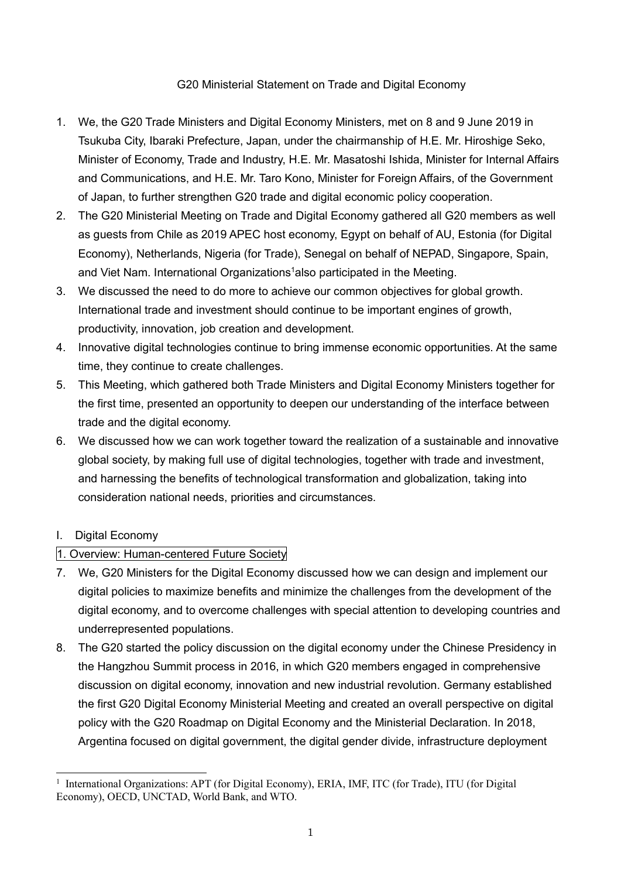# G20 Ministerial Statement on Trade and Digital Economy

- 1. We, the G20 Trade Ministers and Digital Economy Ministers, met on 8 and 9 June 2019 in Tsukuba City, Ibaraki Prefecture, Japan, under the chairmanship of H.E. Mr. Hiroshige Seko, Minister of Economy, Trade and Industry, H.E. Mr. Masatoshi Ishida, Minister for Internal Affairs and Communications, and H.E. Mr. Taro Kono, Minister for Foreign Affairs, of the Government of Japan, to further strengthen G20 trade and digital economic policy cooperation.
- 2. The G20 Ministerial Meeting on Trade and Digital Economy gathered all G20 members as well as guests from Chile as 2019 APEC host economy. Egypt on behalf of AU, Estonia (for Digital Economy), Netherlands, Nigeria (for Trade), Senegal on behalf of NEPAD, Singapore, Spain, and Viet Nam. International Organizations<sup>1</sup>also participated in the Meeting.
- 3. We discussed the need to do more to achieve our common objectives for global growth. International trade and investment should continue to be important engines of growth, productivity, innovation, job creation and development.
- 4. Innovative digital technologies continue to bring immense economic opportunities. At the same time, they continue to create challenges.
- 5. This Meeting, which gathered both Trade Ministers and Digital Economy Ministers together for the first time, presented an opportunity to deepen our understanding of the interface between trade and the digital economy.
- 6. We discussed how we can work together toward the realization of a sustainable and innovative global society, by making full use of digital technologies, together with trade and investment, and harnessing the benefits of technological transformation and globalization, taking into consideration national needs, priorities and circumstances.

# I. Digital Economy

# 1. Overview: Human-centered Future Society

- 7. We, G20 Ministers for the Digital Economy discussed how we can design and implement our digital policies to maximize benefits and minimize the challenges from the development of the digital economy, and to overcome challenges with special attention to developing countries and underrepresented populations.
- 8. The G20 started the policy discussion on the digital economy under the Chinese Presidency in the Hangzhou Summit process in 2016, in which G20 members engaged in comprehensive discussion on digital economy, innovation and new industrial revolution. Germany established the first G20 Digital Economy Ministerial Meeting and created an overall perspective on digital policy with the G20 Roadmap on Digital Economy and the Ministerial Declaration. In 2018, Argentina focused on digital government, the digital gender divide, infrastructure deployment

<sup>&</sup>lt;sup>1</sup> International Organizations: APT (for Digital Economy), ERIA, IMF, ITC (for Trade), ITU (for Digital Economy), OECD, UNCTAD, World Bank, and WTO.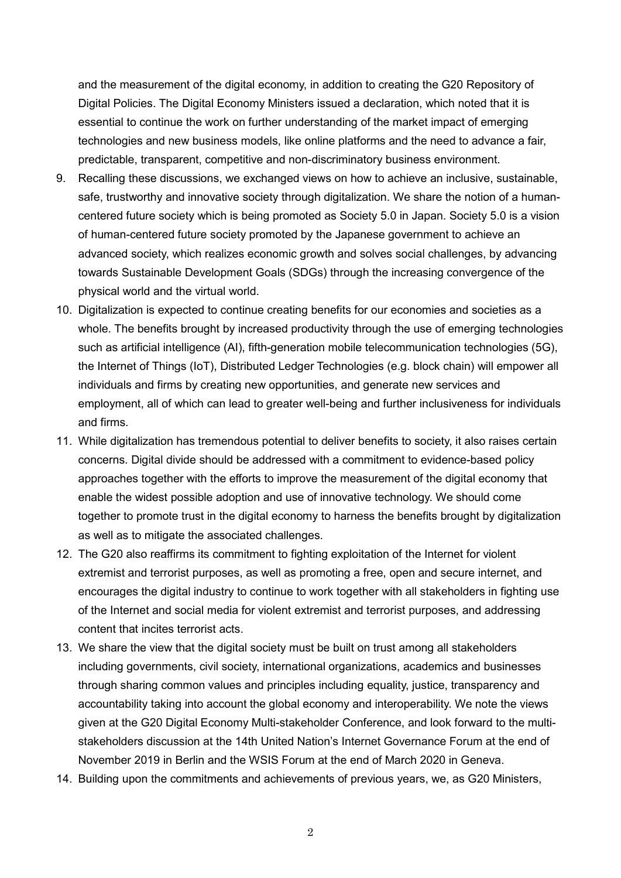and the measurement of the digital economy, in addition to creating the G20 Repository of Digital Policies. The Digital Economy Ministers issued a declaration, which noted that it is essential to continue the work on further understanding of the market impact of emerging technologies and new business models, like online platforms and the need to advance a fair, predictable, transparent, competitive and non-discriminatory business environment.

- 9. Recalling these discussions, we exchanged views on how to achieve an inclusive, sustainable, safe, trustworthy and innovative society through digitalization. We share the notion of a humancentered future society which is being promoted as Society 5.0 in Japan. Society 5.0 is a vision of human-centered future society promoted by the Japanese government to achieve an advanced society, which realizes economic growth and solves social challenges, by advancing towards Sustainable Development Goals (SDGs) through the increasing convergence of the physical world and the virtual world.
- 10. Digitalization is expected to continue creating benefits for our economies and societies as a whole. The benefits brought by increased productivity through the use of emerging technologies such as artificial intelligence (AI), fifth-generation mobile telecommunication technologies (5G), the Internet of Things (IoT), Distributed Ledger Technologies (e.g. block chain) will empower all individuals and firms by creating new opportunities, and generate new services and employment, all of which can lead to greater well-being and further inclusiveness for individuals and firms.
- 11. While digitalization has tremendous potential to deliver benefits to society, it also raises certain concerns. Digital divide should be addressed with a commitment to evidence-based policy approaches together with the efforts to improve the measurement of the digital economy that enable the widest possible adoption and use of innovative technology. We should come together to promote trust in the digital economy to harness the benefits brought by digitalization as well as to mitigate the associated challenges.
- 12. The G20 also reaffirms its commitment to fighting exploitation of the Internet for violent extremist and terrorist purposes, as well as promoting a free, open and secure internet, and encourages the digital industry to continue to work together with all stakeholders in fighting use of the Internet and social media for violent extremist and terrorist purposes, and addressing content that incites terrorist acts.
- 13. We share the view that the digital society must be built on trust among all stakeholders including governments, civil society, international organizations, academics and businesses through sharing common values and principles including equality, justice, transparency and accountability taking into account the global economy and interoperability. We note the views given at the G20 Digital Economy Multi-stakeholder Conference, and look forward to the multistakeholders discussion at the 14th United Nation's Internet Governance Forum at the end of November 2019 in Berlin and the WSIS Forum at the end of March 2020 in Geneva.
- 14. Building upon the commitments and achievements of previous years, we, as G20 Ministers,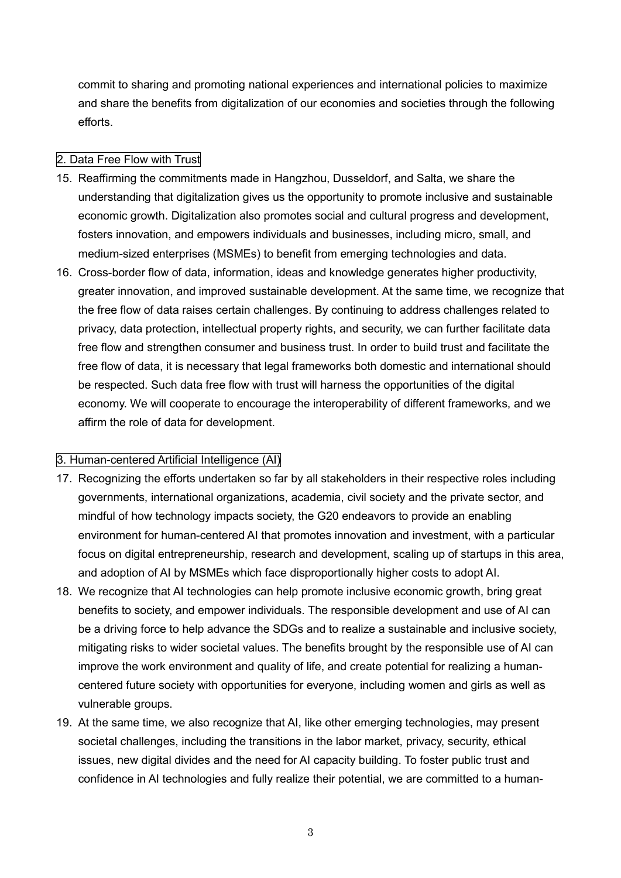commit to sharing and promoting national experiences and international policies to maximize and share the benefits from digitalization of our economies and societies through the following efforts.

# 2. Data Free Flow with Trust

- 15. Reaffirming the commitments made in Hangzhou, Dusseldorf, and Salta, we share the understanding that digitalization gives us the opportunity to promote inclusive and sustainable economic growth. Digitalization also promotes social and cultural progress and development, fosters innovation, and empowers individuals and businesses, including micro, small, and medium-sized enterprises (MSMEs) to benefit from emerging technologies and data.
- 16. Cross-border flow of data, information, ideas and knowledge generates higher productivity, greater innovation, and improved sustainable development. At the same time, we recognize that the free flow of data raises certain challenges. By continuing to address challenges related to privacy, data protection, intellectual property rights, and security, we can further facilitate data free flow and strengthen consumer and business trust. In order to build trust and facilitate the free flow of data, it is necessary that legal frameworks both domestic and international should be respected. Such data free flow with trust will harness the opportunities of the digital economy. We will cooperate to encourage the interoperability of different frameworks, and we affirm the role of data for development.

#### 3. Human-centered Artificial Intelligence (AI)

- 17. Recognizing the efforts undertaken so far by all stakeholders in their respective roles including governments, international organizations, academia, civil society and the private sector, and mindful of how technology impacts society, the G20 endeavors to provide an enabling environment for human-centered AI that promotes innovation and investment, with a particular focus on digital entrepreneurship, research and development, scaling up of startups in this area, and adoption of AI by MSMEs which face disproportionally higher costs to adopt AI.
- 18. We recognize that AI technologies can help promote inclusive economic growth, bring great benefits to society, and empower individuals. The responsible development and use of AI can be a driving force to help advance the SDGs and to realize a sustainable and inclusive society, mitigating risks to wider societal values. The benefits brought by the responsible use of AI can improve the work environment and quality of life, and create potential for realizing a humancentered future society with opportunities for everyone, including women and girls as well as vulnerable groups.
- 19. At the same time, we also recognize that AI, like other emerging technologies, may present societal challenges, including the transitions in the labor market, privacy, security, ethical issues, new digital divides and the need for AI capacity building. To foster public trust and confidence in AI technologies and fully realize their potential, we are committed to a human-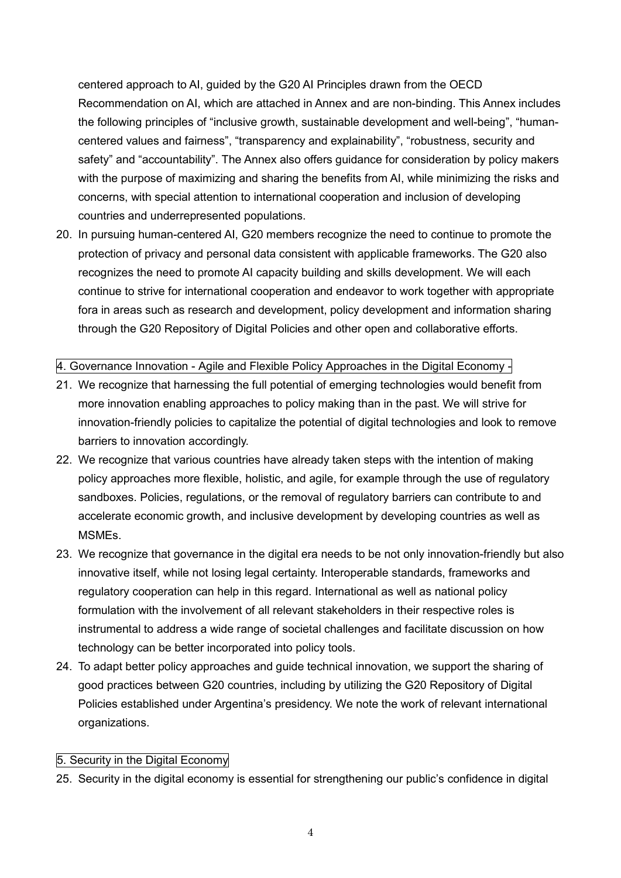centered approach to AI, guided by the G20 AI Principles drawn from the OECD Recommendation on AI, which are attached in Annex and are non-binding. This Annex includes the following principles of "inclusive growth, sustainable development and well-being", "humancentered values and fairness", "transparency and explainability", "robustness, security and safety" and "accountability". The Annex also offers guidance for consideration by policy makers with the purpose of maximizing and sharing the benefits from AI, while minimizing the risks and concerns, with special attention to international cooperation and inclusion of developing countries and underrepresented populations.

20. In pursuing human-centered AI, G20 members recognize the need to continue to promote the protection of privacy and personal data consistent with applicable frameworks. The G20 also recognizes the need to promote AI capacity building and skills development. We will each continue to strive for international cooperation and endeavor to work together with appropriate fora in areas such as research and development, policy development and information sharing through the G20 Repository of Digital Policies and other open and collaborative efforts.

#### 4. Governance Innovation - Agile and Flexible Policy Approaches in the Digital Economy -

- 21. We recognize that harnessing the full potential of emerging technologies would benefit from more innovation enabling approaches to policy making than in the past. We will strive for innovation-friendly policies to capitalize the potential of digital technologies and look to remove barriers to innovation accordingly.
- 22. We recognize that various countries have already taken steps with the intention of making policy approaches more flexible, holistic, and agile, for example through the use of regulatory sandboxes. Policies, regulations, or the removal of regulatory barriers can contribute to and accelerate economic growth, and inclusive development by developing countries as well as MSMEs.
- 23. We recognize that governance in the digital era needs to be not only innovation-friendly but also innovative itself, while not losing legal certainty. Interoperable standards, frameworks and regulatory cooperation can help in this regard. International as well as national policy formulation with the involvement of all relevant stakeholders in their respective roles is instrumental to address a wide range of societal challenges and facilitate discussion on how technology can be better incorporated into policy tools.
- 24. To adapt better policy approaches and guide technical innovation, we support the sharing of good practices between G20 countries, including by utilizing the G20 Repository of Digital Policies established under Argentina's presidency. We note the work of relevant international organizations.

# 5. Security in the Digital Economy

25. Security in the digital economy is essential for strengthening our public's confidence in digital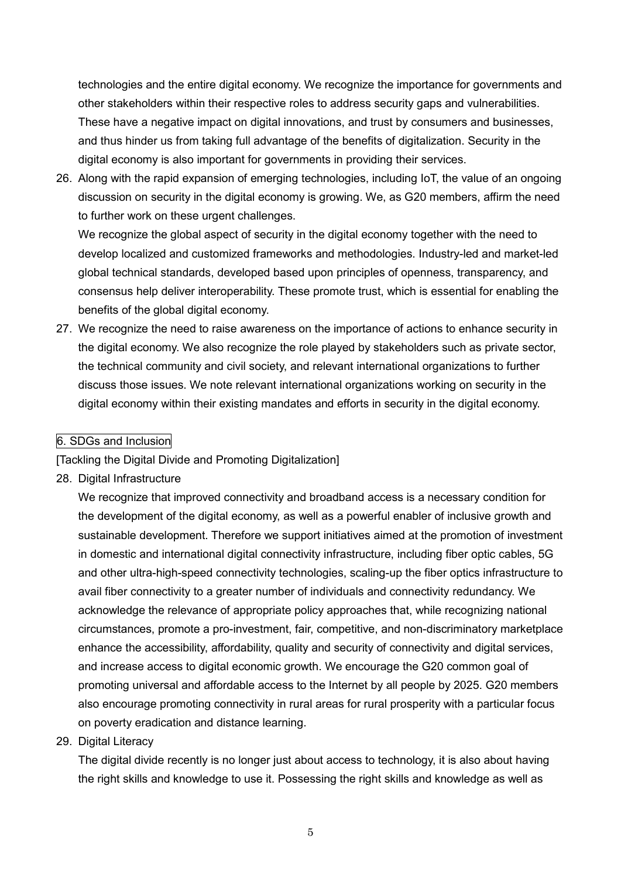technologies and the entire digital economy. We recognize the importance for governments and other stakeholders within their respective roles to address security gaps and vulnerabilities. These have a negative impact on digital innovations, and trust by consumers and businesses, and thus hinder us from taking full advantage of the benefits of digitalization. Security in the digital economy is also important for governments in providing their services.

26. Along with the rapid expansion of emerging technologies, including IoT, the value of an ongoing discussion on security in the digital economy is growing. We, as G20 members, affirm the need to further work on these urgent challenges.

We recognize the global aspect of security in the digital economy together with the need to develop localized and customized frameworks and methodologies. Industry-led and market-led global technical standards, developed based upon principles of openness, transparency, and consensus help deliver interoperability. These promote trust, which is essential for enabling the benefits of the global digital economy.

27. We recognize the need to raise awareness on the importance of actions to enhance security in the digital economy. We also recognize the role played by stakeholders such as private sector, the technical community and civil society, and relevant international organizations to further discuss those issues. We note relevant international organizations working on security in the digital economy within their existing mandates and efforts in security in the digital economy.

#### 6. SDGs and Inclusion

[Tackling the Digital Divide and Promoting Digitalization]

28. Digital Infrastructure

We recognize that improved connectivity and broadband access is a necessary condition for the development of the digital economy, as well as a powerful enabler of inclusive growth and sustainable development. Therefore we support initiatives aimed at the promotion of investment in domestic and international digital connectivity infrastructure, including fiber optic cables, 5G and other ultra-high-speed connectivity technologies, scaling-up the fiber optics infrastructure to avail fiber connectivity to a greater number of individuals and connectivity redundancy. We acknowledge the relevance of appropriate policy approaches that, while recognizing national circumstances, promote a pro-investment, fair, competitive, and non-discriminatory marketplace enhance the accessibility, affordability, quality and security of connectivity and digital services, and increase access to digital economic growth. We encourage the G20 common goal of promoting universal and affordable access to the Internet by all people by 2025. G20 members also encourage promoting connectivity in rural areas for rural prosperity with a particular focus on poverty eradication and distance learning.

#### 29. Digital Literacy

The digital divide recently is no longer just about access to technology, it is also about having the right skills and knowledge to use it. Possessing the right skills and knowledge as well as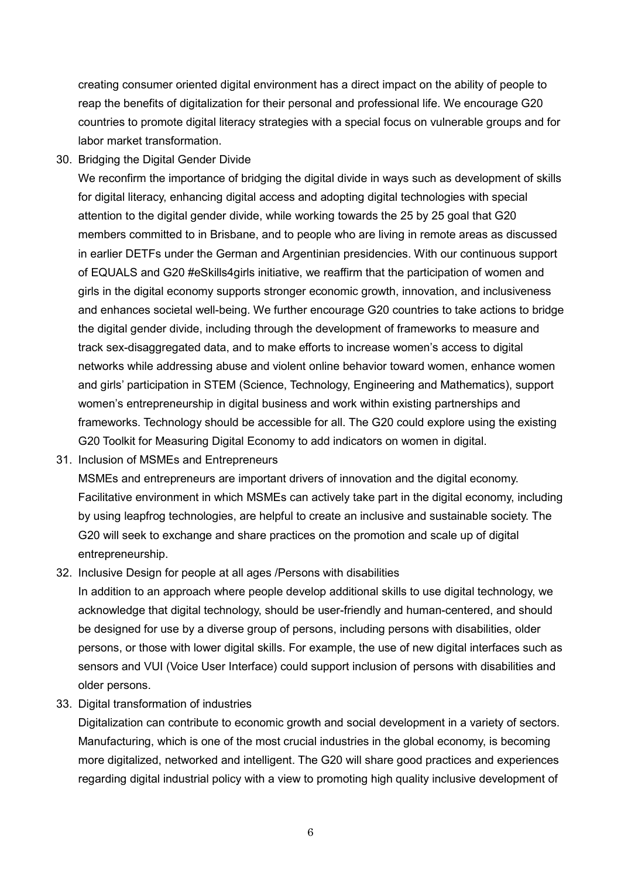creating consumer oriented digital environment has a direct impact on the ability of people to reap the benefits of digitalization for their personal and professional life. We encourage G20 countries to promote digital literacy strategies with a special focus on vulnerable groups and for labor market transformation.

30. Bridging the Digital Gender Divide

We reconfirm the importance of bridging the digital divide in ways such as development of skills for digital literacy, enhancing digital access and adopting digital technologies with special attention to the digital gender divide, while working towards the 25 by 25 goal that G20 members committed to in Brisbane, and to people who are living in remote areas as discussed in earlier DETFs under the German and Argentinian presidencies. With our continuous support of EQUALS and G20 #eSkills4girls initiative, we reaffirm that the participation of women and girls in the digital economy supports stronger economic growth, innovation, and inclusiveness and enhances societal well-being. We further encourage G20 countries to take actions to bridge the digital gender divide, including through the development of frameworks to measure and track sex-disaggregated data, and to make efforts to increase women's access to digital networks while addressing abuse and violent online behavior toward women, enhance women and girls' participation in STEM (Science, Technology, Engineering and Mathematics), support women's entrepreneurship in digital business and work within existing partnerships and frameworks. Technology should be accessible for all. The G20 could explore using the existing G20 Toolkit for Measuring Digital Economy to add indicators on women in digital.

31. Inclusion of MSMEs and Entrepreneurs

MSMEs and entrepreneurs are important drivers of innovation and the digital economy. Facilitative environment in which MSMEs can actively take part in the digital economy, including by using leapfrog technologies, are helpful to create an inclusive and sustainable society. The G20 will seek to exchange and share practices on the promotion and scale up of digital entrepreneurship.

32. Inclusive Design for people at all ages /Persons with disabilities

In addition to an approach where people develop additional skills to use digital technology, we acknowledge that digital technology, should be user-friendly and human-centered, and should be designed for use by a diverse group of persons, including persons with disabilities, older persons, or those with lower digital skills. For example, the use of new digital interfaces such as sensors and VUI (Voice User Interface) could support inclusion of persons with disabilities and older persons.

33. Digital transformation of industries

Digitalization can contribute to economic growth and social development in a variety of sectors. Manufacturing, which is one of the most crucial industries in the global economy, is becoming more digitalized, networked and intelligent. The G20 will share good practices and experiences regarding digital industrial policy with a view to promoting high quality inclusive development of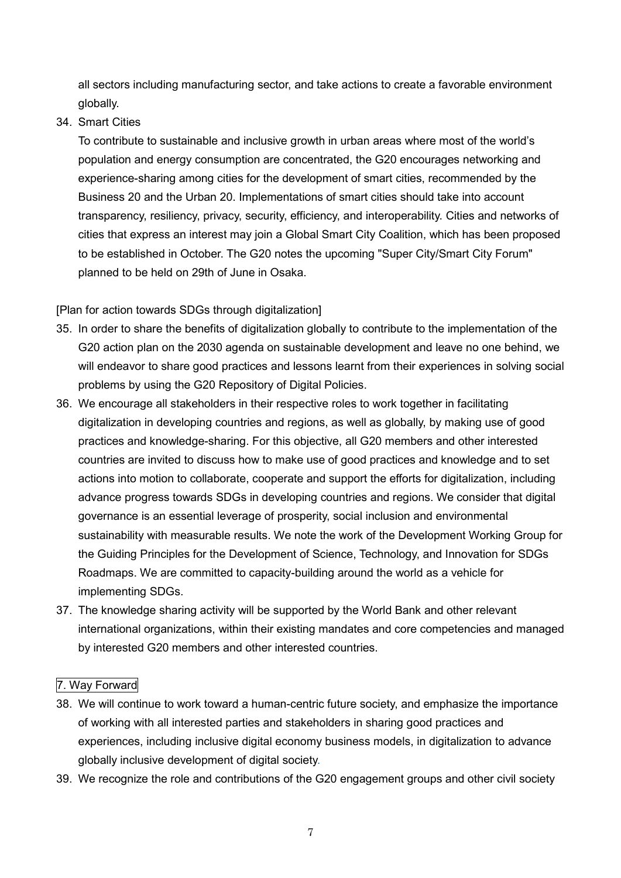all sectors including manufacturing sector, and take actions to create a favorable environment globally.

34. Smart Cities

To contribute to sustainable and inclusive growth in urban areas where most of the world's population and energy consumption are concentrated, the G20 encourages networking and experience-sharing among cities for the development of smart cities, recommended by the Business 20 and the Urban 20. Implementations of smart cities should take into account transparency, resiliency, privacy, security, efficiency, and interoperability. Cities and networks of cities that express an interest may join a Global Smart City Coalition, which has been proposed to be established in October. The G20 notes the upcoming "Super City/Smart City Forum" planned to be held on 29th of June in Osaka.

[Plan for action towards SDGs through digitalization]

- 35. In order to share the benefits of digitalization globally to contribute to the implementation of the G20 action plan on the 2030 agenda on sustainable development and leave no one behind, we will endeavor to share good practices and lessons learnt from their experiences in solving social problems by using the G20 Repository of Digital Policies.
- 36. We encourage all stakeholders in their respective roles to work together in facilitating digitalization in developing countries and regions, as well as globally, by making use of good practices and knowledge-sharing. For this objective, all G20 members and other interested countries are invited to discuss how to make use of good practices and knowledge and to set actions into motion to collaborate, cooperate and support the efforts for digitalization, including advance progress towards SDGs in developing countries and regions. We consider that digital governance is an essential leverage of prosperity, social inclusion and environmental sustainability with measurable results. We note the work of the Development Working Group for the Guiding Principles for the Development of Science, Technology, and Innovation for SDGs Roadmaps. We are committed to capacity-building around the world as a vehicle for implementing SDGs.
- 37. The knowledge sharing activity will be supported by the World Bank and other relevant international organizations, within their existing mandates and core competencies and managed by interested G20 members and other interested countries.

# 7. Way Forward

- 38. We will continue to work toward a human-centric future society, and emphasize the importance of working with all interested parties and stakeholders in sharing good practices and experiences, including inclusive digital economy business models, in digitalization to advance globally inclusive development of digital society.
- 39. We recognize the role and contributions of the G20 engagement groups and other civil society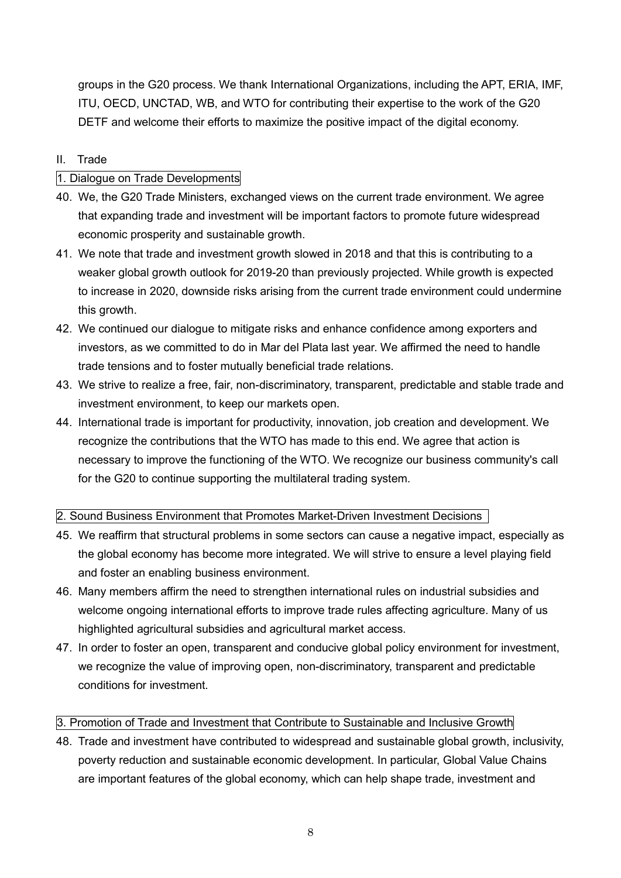groups in the G20 process. We thank International Organizations, including the APT, ERIA, IMF, ITU, OECD, UNCTAD, WB, and WTO for contributing their expertise to the work of the G20 DETF and welcome their efforts to maximize the positive impact of the digital economy.

# II. Trade

# 1. Dialogue on Trade Developments

- 40. We, the G20 Trade Ministers, exchanged views on the current trade environment. We agree that expanding trade and investment will be important factors to promote future widespread economic prosperity and sustainable growth.
- 41. We note that trade and investment growth slowed in 2018 and that this is contributing to a weaker global growth outlook for 2019-20 than previously projected. While growth is expected to increase in 2020, downside risks arising from the current trade environment could undermine this growth.
- 42. We continued our dialogue to mitigate risks and enhance confidence among exporters and investors, as we committed to do in Mar del Plata last year. We affirmed the need to handle trade tensions and to foster mutually beneficial trade relations.
- 43. We strive to realize a free, fair, non-discriminatory, transparent, predictable and stable trade and investment environment, to keep our markets open.
- 44. International trade is important for productivity, innovation, job creation and development. We recognize the contributions that the WTO has made to this end. We agree that action is necessary to improve the functioning of the WTO. We recognize our business community's call for the G20 to continue supporting the multilateral trading system.

# 2. Sound Business Environment that Promotes Market-Driven Investment Decisions

- 45. We reaffirm that structural problems in some sectors can cause a negative impact, especially as the global economy has become more integrated. We will strive to ensure a level playing field and foster an enabling business environment.
- 46. Many members affirm the need to strengthen international rules on industrial subsidies and welcome ongoing international efforts to improve trade rules affecting agriculture. Many of us highlighted agricultural subsidies and agricultural market access.
- 47. In order to foster an open, transparent and conducive global policy environment for investment, we recognize the value of improving open, non-discriminatory, transparent and predictable conditions for investment.

# 3. Promotion of Trade and Investment that Contribute to Sustainable and Inclusive Growth

48. Trade and investment have contributed to widespread and sustainable global growth, inclusivity, poverty reduction and sustainable economic development. In particular, Global Value Chains are important features of the global economy, which can help shape trade, investment and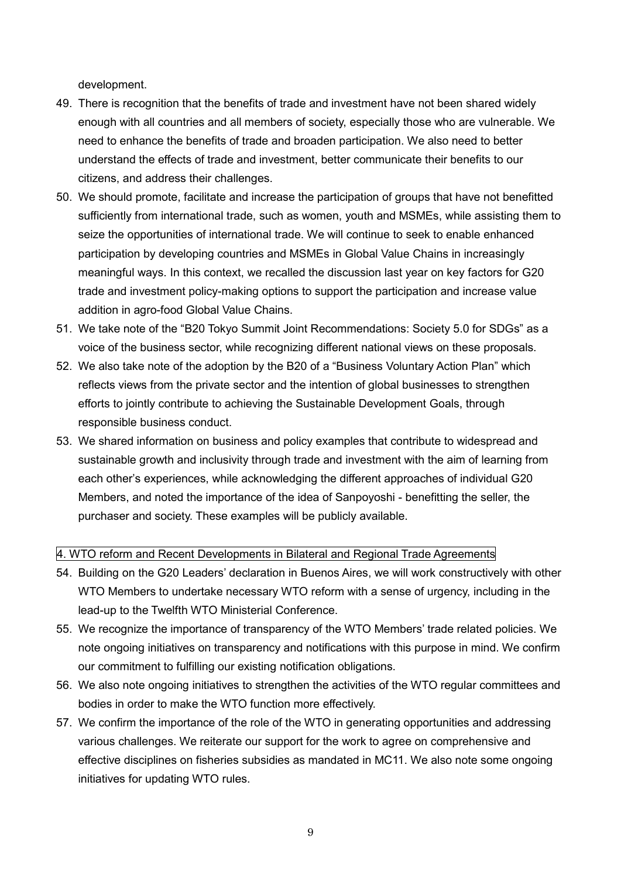development.

- 49. There is recognition that the benefits of trade and investment have not been shared widely enough with all countries and all members of society, especially those who are vulnerable. We need to enhance the benefits of trade and broaden participation. We also need to better understand the effects of trade and investment, better communicate their benefits to our citizens, and address their challenges.
- 50. We should promote, facilitate and increase the participation of groups that have not benefitted sufficiently from international trade, such as women, youth and MSMEs, while assisting them to seize the opportunities of international trade. We will continue to seek to enable enhanced participation by developing countries and MSMEs in Global Value Chains in increasingly meaningful ways. In this context, we recalled the discussion last year on key factors for G20 trade and investment policy-making options to support the participation and increase value addition in agro-food Global Value Chains.
- 51. We take note of the "B20 Tokyo Summit Joint Recommendations: Society 5.0 for SDGs" as a voice of the business sector, while recognizing different national views on these proposals.
- 52. We also take note of the adoption by the B20 of a "Business Voluntary Action Plan" which reflects views from the private sector and the intention of global businesses to strengthen efforts to jointly contribute to achieving the Sustainable Development Goals, through responsible business conduct.
- 53. We shared information on business and policy examples that contribute to widespread and sustainable growth and inclusivity through trade and investment with the aim of learning from each other's experiences, while acknowledging the different approaches of individual G20 Members, and noted the importance of the idea of Sanpoyoshi - benefitting the seller, the purchaser and society. These examples will be publicly available.

#### 4. WTO reform and Recent Developments in Bilateral and Regional Trade Agreements

- 54. Building on the G20 Leaders' declaration in Buenos Aires, we will work constructively with other WTO Members to undertake necessary WTO reform with a sense of urgency, including in the lead-up to the Twelfth WTO Ministerial Conference.
- 55. We recognize the importance of transparency of the WTO Members' trade related policies. We note ongoing initiatives on transparency and notifications with this purpose in mind. We confirm our commitment to fulfilling our existing notification obligations.
- 56. We also note ongoing initiatives to strengthen the activities of the WTO regular committees and bodies in order to make the WTO function more effectively.
- 57. We confirm the importance of the role of the WTO in generating opportunities and addressing various challenges. We reiterate our support for the work to agree on comprehensive and effective disciplines on fisheries subsidies as mandated in MC11. We also note some ongoing initiatives for updating WTO rules.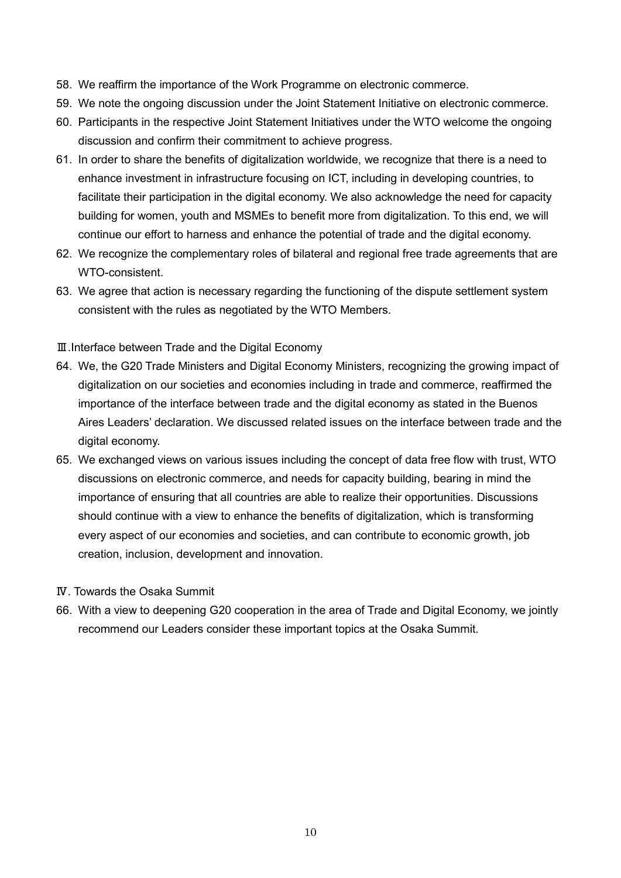- 58. We reaffirm the importance of the Work Programme on electronic commerce.
- 59. We note the ongoing discussion under the Joint Statement Initiative on electronic commerce.
- 60. Participants in the respective Joint Statement Initiatives under the WTO welcome the ongoing discussion and confirm their commitment to achieve progress.
- 61. In order to share the benefits of digitalization worldwide, we recognize that there is a need to enhance investment in infrastructure focusing on ICT, including in developing countries, to facilitate their participation in the digital economy. We also acknowledge the need for capacity building for women, youth and MSMEs to benefit more from digitalization. To this end, we will continue our effort to harness and enhance the potential of trade and the digital economy.
- 62. We recognize the complementary roles of bilateral and regional free trade agreements that are WTO-consistent.
- 63. We agree that action is necessary regarding the functioning of the dispute settlement system consistent with the rules as negotiated by the WTO Members.
- Ⅲ.Interface between Trade and the Digital Economy
- 64. We, the G20 Trade Ministers and Digital Economy Ministers, recognizing the growing impact of digitalization on our societies and economies including in trade and commerce, reaffirmed the importance of the interface between trade and the digital economy as stated in the Buenos Aires Leaders' declaration. We discussed related issues on the interface between trade and the digital economy.
- 65. We exchanged views on various issues including the concept of data free flow with trust, WTO discussions on electronic commerce, and needs for capacity building, bearing in mind the importance of ensuring that all countries are able to realize their opportunities. Discussions should continue with a view to enhance the benefits of digitalization, which is transforming every aspect of our economies and societies, and can contribute to economic growth, job creation, inclusion, development and innovation.
- Ⅳ. Towards the Osaka Summit
- 66. With a view to deepening G20 cooperation in the area of Trade and Digital Economy, we jointly recommend our Leaders consider these important topics at the Osaka Summit.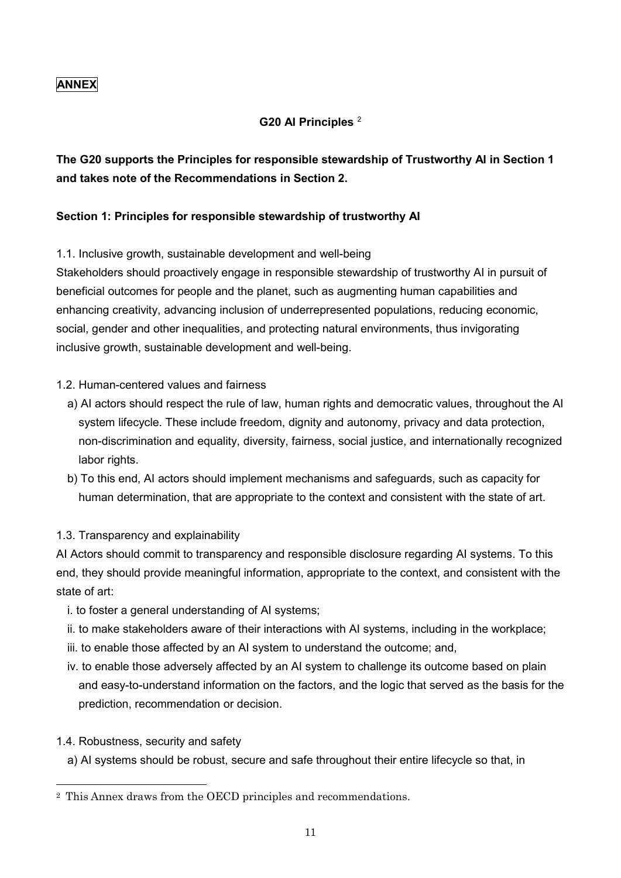# **ANNEX**

# **G20 AI Principles** 2

# **The G20 supports the Principles for responsible stewardship of Trustworthy AI in Section 1 and takes note of the Recommendations in Section 2.**

#### **Section 1: Principles for responsible stewardship of trustworthy AI**

1.1. Inclusive growth, sustainable development and well-being

Stakeholders should proactively engage in responsible stewardship of trustworthy AI in pursuit of beneficial outcomes for people and the planet, such as augmenting human capabilities and enhancing creativity, advancing inclusion of underrepresented populations, reducing economic, social, gender and other inequalities, and protecting natural environments, thus invigorating inclusive growth, sustainable development and well-being.

#### 1.2. Human-centered values and fairness

- a) AI actors should respect the rule of law, human rights and democratic values, throughout the AI system lifecycle. These include freedom, dignity and autonomy, privacy and data protection, non-discrimination and equality, diversity, fairness, social justice, and internationally recognized labor rights.
- b) To this end, AI actors should implement mechanisms and safeguards, such as capacity for human determination, that are appropriate to the context and consistent with the state of art.

# 1.3. Transparency and explainability

AI Actors should commit to transparency and responsible disclosure regarding AI systems. To this end, they should provide meaningful information, appropriate to the context, and consistent with the state of art:

- i. to foster a general understanding of AI systems;
- ii. to make stakeholders aware of their interactions with AI systems, including in the workplace;
- iii. to enable those affected by an AI system to understand the outcome; and,
- iv. to enable those adversely affected by an AI system to challenge its outcome based on plain and easy-to-understand information on the factors, and the logic that served as the basis for the prediction, recommendation or decision.
- 1.4. Robustness, security and safety
	- a) AI systems should be robust, secure and safe throughout their entire lifecycle so that, in

<sup>2</sup> This Annex draws from the OECD principles and recommendations.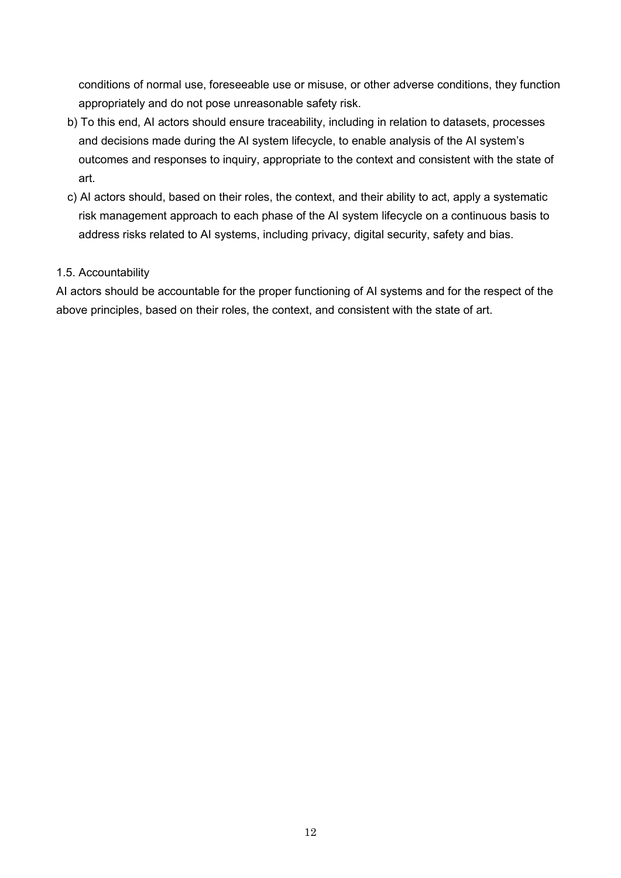conditions of normal use, foreseeable use or misuse, or other adverse conditions, they function appropriately and do not pose unreasonable safety risk.

- b) To this end, AI actors should ensure traceability, including in relation to datasets, processes and decisions made during the AI system lifecycle, to enable analysis of the AI system's outcomes and responses to inquiry, appropriate to the context and consistent with the state of art.
- c) AI actors should, based on their roles, the context, and their ability to act, apply a systematic risk management approach to each phase of the AI system lifecycle on a continuous basis to address risks related to AI systems, including privacy, digital security, safety and bias.

#### 1.5. Accountability

AI actors should be accountable for the proper functioning of AI systems and for the respect of the above principles, based on their roles, the context, and consistent with the state of art.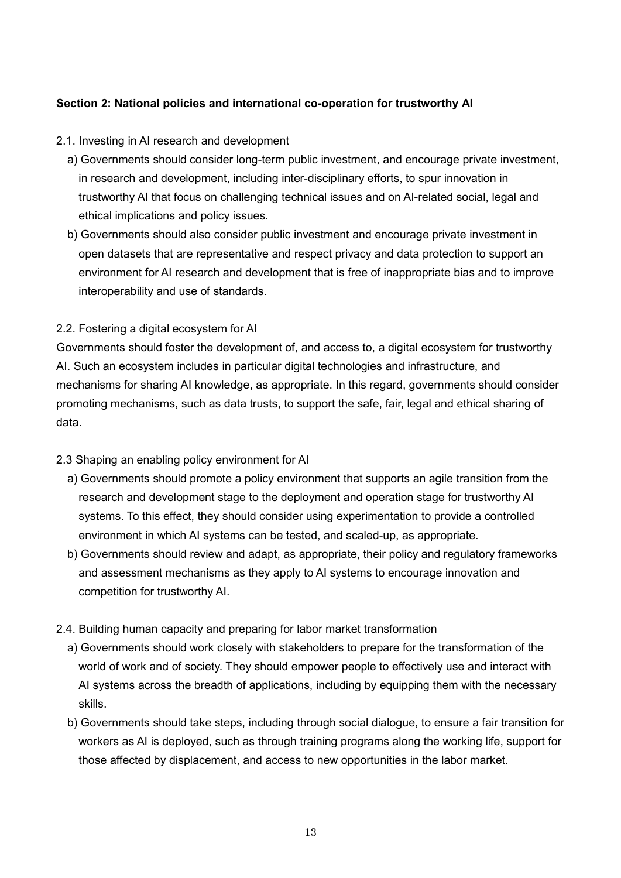# **Section 2: National policies and international co-operation for trustworthy AI**

- 2.1. Investing in AI research and development
	- a) Governments should consider long-term public investment, and encourage private investment, in research and development, including inter-disciplinary efforts, to spur innovation in trustworthy AI that focus on challenging technical issues and on AI-related social, legal and ethical implications and policy issues.
	- b) Governments should also consider public investment and encourage private investment in open datasets that are representative and respect privacy and data protection to support an environment for AI research and development that is free of inappropriate bias and to improve interoperability and use of standards.

#### 2.2. Fostering a digital ecosystem for AI

Governments should foster the development of, and access to, a digital ecosystem for trustworthy AI. Such an ecosystem includes in particular digital technologies and infrastructure, and mechanisms for sharing AI knowledge, as appropriate. In this regard, governments should consider promoting mechanisms, such as data trusts, to support the safe, fair, legal and ethical sharing of data.

# 2.3 Shaping an enabling policy environment for AI

- a) Governments should promote a policy environment that supports an agile transition from the research and development stage to the deployment and operation stage for trustworthy AI systems. To this effect, they should consider using experimentation to provide a controlled environment in which AI systems can be tested, and scaled-up, as appropriate.
- b) Governments should review and adapt, as appropriate, their policy and regulatory frameworks and assessment mechanisms as they apply to AI systems to encourage innovation and competition for trustworthy AI.
- 2.4. Building human capacity and preparing for labor market transformation
	- a) Governments should work closely with stakeholders to prepare for the transformation of the world of work and of society. They should empower people to effectively use and interact with AI systems across the breadth of applications, including by equipping them with the necessary skills.
	- b) Governments should take steps, including through social dialogue, to ensure a fair transition for workers as AI is deployed, such as through training programs along the working life, support for those affected by displacement, and access to new opportunities in the labor market.